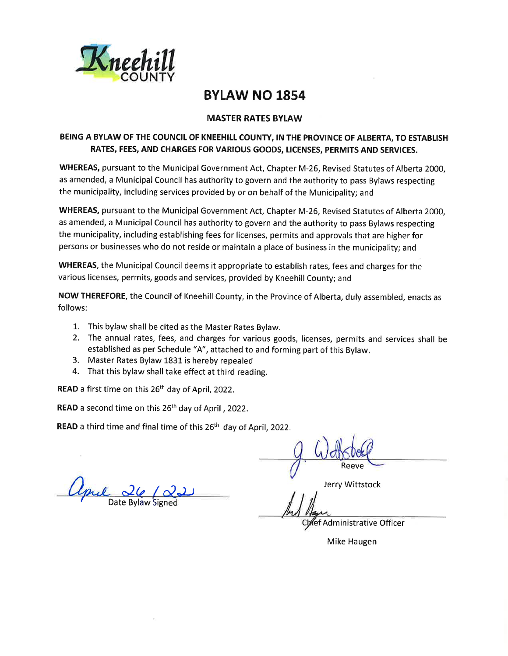

# **BYLAW NO 1854**

### **MASTER RATES BYLAW**

### BEING A BYLAW OF THE COUNCIL OF KNEEHILL COUNTY, IN THE PROVINCE OF ALBERTA, TO ESTABLISH RATES, FEES, AND CHARGES FOR VARIOUS GOODS, LICENSES, PERMITS AND SERVICES.

WHEREAS, pursuant to the Municipal Government Act, Chapter M-26, Revised Statutes of Alberta 2000, as amended, a Municipal Council has authority to govern and the authority to pass Bylaws respecting the municipality, including services provided by or on behalf of the Municipality; and

WHEREAS, pursuant to the Municipal Government Act, Chapter M-26, Revised Statutes of Alberta 2000. as amended, a Municipal Council has authority to govern and the authority to pass Bylaws respecting the municipality, including establishing fees for licenses, permits and approvals that are higher for persons or businesses who do not reside or maintain a place of business in the municipality; and

WHEREAS, the Municipal Council deems it appropriate to establish rates, fees and charges for the various licenses, permits, goods and services, provided by Kneehill County; and

NOW THEREFORE, the Council of Kneehill County, in the Province of Alberta, duly assembled, enacts as follows:

- 1. This bylaw shall be cited as the Master Rates Bylaw.
- 2. The annual rates, fees, and charges for various goods, licenses, permits and services shall be established as per Schedule "A", attached to and forming part of this Bylaw.
- 3. Master Rates Bylaw 1831 is hereby repealed
- 4. That this bylaw shall take effect at third reading.

READ a first time on this 26<sup>th</sup> day of April, 2022.

READ a second time on this 26<sup>th</sup> day of April, 2022.

READ a third time and final time of this 26<sup>th</sup> day of April, 2022.

Upul 26/00

Reeve

Jerry Wittstock

ref Administrative Officer

Mike Haugen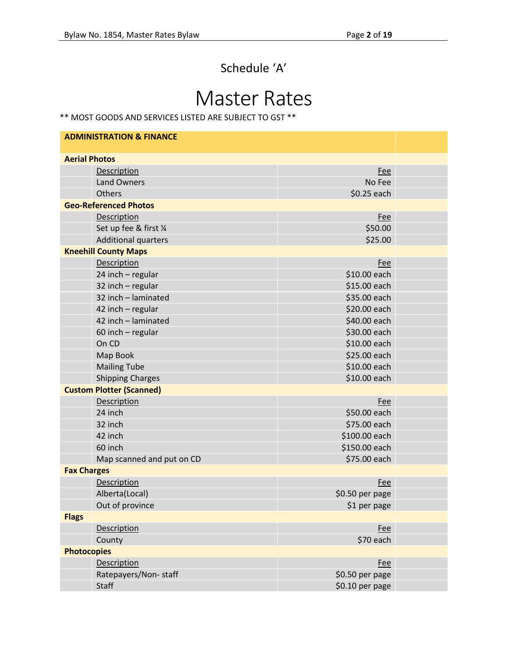# Schedule 'A'

# Master Rates

\*\* MOST GOODS AND SERVICES LISTED ARE SUBJECT TO GST \*\*

| <b>ADMINISTRATION &amp; FINANCE</b> |                                 |                 |  |
|-------------------------------------|---------------------------------|-----------------|--|
| <b>Aerial Photos</b>                |                                 |                 |  |
|                                     | Description                     | <b>Fee</b>      |  |
|                                     | <b>Land Owners</b>              | No Fee          |  |
|                                     | Others                          | \$0.25 each     |  |
|                                     | <b>Geo-Referenced Photos</b>    |                 |  |
|                                     | Description                     | <b>Fee</b>      |  |
|                                     | Set up fee & first 1/4          | \$50.00         |  |
|                                     | <b>Additional quarters</b>      | \$25.00         |  |
|                                     | <b>Kneehill County Maps</b>     |                 |  |
|                                     | Description                     | <b>Fee</b>      |  |
|                                     | 24 inch - regular               | \$10.00 each    |  |
|                                     | 32 inch - regular               | \$15.00 each    |  |
|                                     | 32 inch - laminated             | \$35.00 each    |  |
|                                     | 42 inch - regular               | \$20.00 each    |  |
|                                     | 42 inch - laminated             | \$40.00 each    |  |
|                                     | 60 inch - regular               | \$30.00 each    |  |
|                                     | On CD                           | \$10.00 each    |  |
|                                     | Map Book                        | \$25.00 each    |  |
|                                     | <b>Mailing Tube</b>             | \$10.00 each    |  |
|                                     | <b>Shipping Charges</b>         | \$10.00 each    |  |
|                                     | <b>Custom Plotter (Scanned)</b> |                 |  |
|                                     | Description                     | Fee             |  |
|                                     | 24 inch                         | \$50.00 each    |  |
|                                     | 32 inch                         | \$75.00 each    |  |
|                                     | 42 inch                         | \$100.00 each   |  |
|                                     | 60 inch                         | \$150.00 each   |  |
|                                     | Map scanned and put on CD       | \$75.00 each    |  |
| <b>Fax Charges</b>                  |                                 |                 |  |
|                                     | Description                     | Fee             |  |
|                                     | Alberta(Local)                  | \$0.50 per page |  |
|                                     | Out of province                 | \$1 per page    |  |
| <b>Flags</b>                        |                                 |                 |  |
|                                     | Description                     | Fee             |  |
|                                     | County                          | \$70 each       |  |
| <b>Photocopies</b>                  |                                 |                 |  |
|                                     | Description                     | <b>Fee</b>      |  |
|                                     | Ratepayers/Non-staff            | \$0.50 per page |  |
|                                     | <b>Staff</b>                    | \$0.10 per page |  |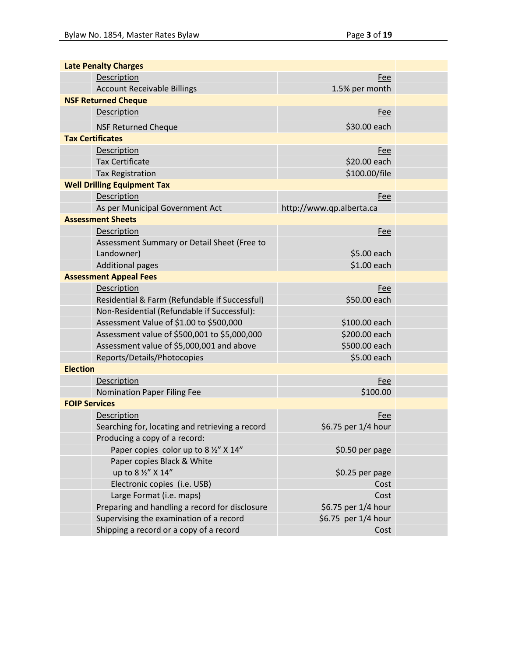| <b>Late Penalty Charges</b>                     |                          |  |  |  |
|-------------------------------------------------|--------------------------|--|--|--|
| Description                                     | Fee                      |  |  |  |
| <b>Account Receivable Billings</b>              | 1.5% per month           |  |  |  |
| <b>NSF Returned Cheque</b>                      |                          |  |  |  |
| Description                                     | <b>Fee</b>               |  |  |  |
| <b>NSF Returned Cheque</b>                      | \$30.00 each             |  |  |  |
| <b>Tax Certificates</b>                         |                          |  |  |  |
| Description                                     | Fee                      |  |  |  |
| <b>Tax Certificate</b>                          | \$20.00 each             |  |  |  |
| <b>Tax Registration</b>                         | \$100.00/file            |  |  |  |
| <b>Well Drilling Equipment Tax</b>              |                          |  |  |  |
| Description                                     | Fee                      |  |  |  |
| As per Municipal Government Act                 | http://www.qp.alberta.ca |  |  |  |
| <b>Assessment Sheets</b>                        |                          |  |  |  |
| Description                                     | Fee                      |  |  |  |
| Assessment Summary or Detail Sheet (Free to     |                          |  |  |  |
| Landowner)                                      | \$5.00 each              |  |  |  |
| <b>Additional pages</b>                         | \$1.00 each              |  |  |  |
| <b>Assessment Appeal Fees</b>                   |                          |  |  |  |
| Description                                     | Fee                      |  |  |  |
| Residential & Farm (Refundable if Successful)   | \$50.00 each             |  |  |  |
| Non-Residential (Refundable if Successful):     |                          |  |  |  |
| Assessment Value of \$1.00 to \$500,000         | \$100.00 each            |  |  |  |
| Assessment value of \$500,001 to \$5,000,000    | \$200.00 each            |  |  |  |
| Assessment value of \$5,000,001 and above       | \$500.00 each            |  |  |  |
| Reports/Details/Photocopies                     | \$5.00 each              |  |  |  |
| <b>Election</b>                                 |                          |  |  |  |
| Description                                     | <b>Fee</b>               |  |  |  |
| <b>Nomination Paper Filing Fee</b>              | \$100.00                 |  |  |  |
| <b>FOIP Services</b>                            |                          |  |  |  |
| Description                                     | Fee                      |  |  |  |
| Searching for, locating and retrieving a record | \$6.75 per 1/4 hour      |  |  |  |
| Producing a copy of a record:                   |                          |  |  |  |
| Paper copies color up to 8 1/2" X 14"           | \$0.50 per page          |  |  |  |
| Paper copies Black & White                      |                          |  |  |  |
| up to 8 1/2" X 14"                              | \$0.25 per page          |  |  |  |
| Electronic copies (i.e. USB)                    | Cost                     |  |  |  |
| Large Format (i.e. maps)                        | Cost                     |  |  |  |
| Preparing and handling a record for disclosure  | \$6.75 per 1/4 hour      |  |  |  |
| Supervising the examination of a record         | \$6.75 per 1/4 hour      |  |  |  |
| Shipping a record or a copy of a record         | Cost                     |  |  |  |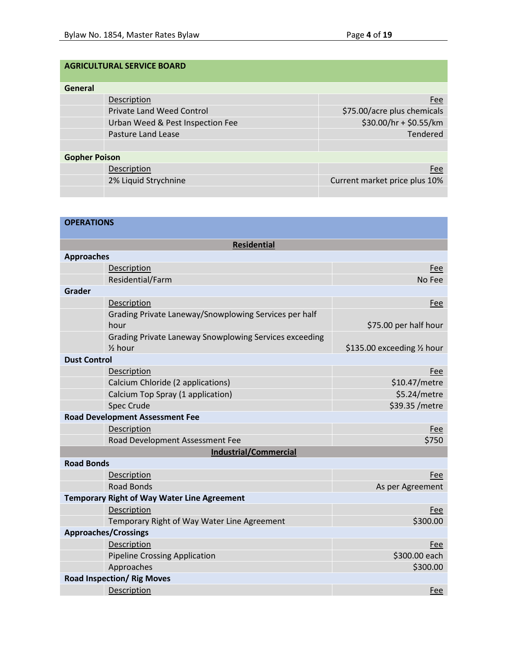## **AGRICULTURAL SERVICE BOARD**

| General              |                                  |                               |
|----------------------|----------------------------------|-------------------------------|
|                      | Description                      | Fee                           |
|                      | <b>Private Land Weed Control</b> | \$75.00/acre plus chemicals   |
|                      | Urban Weed & Pest Inspection Fee | \$30.00/hr + \$0.55/km        |
|                      | <b>Pasture Land Lease</b>        | Tendered                      |
|                      |                                  |                               |
| <b>Gopher Poison</b> |                                  |                               |
|                      | Description                      | Fee                           |
|                      | 2% Liquid Strychnine             | Current market price plus 10% |
|                      |                                  |                               |

| <b>OPERATIONS</b>                                  |                                                        |                             |
|----------------------------------------------------|--------------------------------------------------------|-----------------------------|
|                                                    | <b>Residential</b>                                     |                             |
| <b>Approaches</b>                                  |                                                        |                             |
| Description                                        |                                                        | Fee                         |
| Residential/Farm                                   |                                                        | No Fee                      |
| Grader                                             |                                                        |                             |
| Description                                        |                                                        | Fee                         |
| hour                                               | Grading Private Laneway/Snowplowing Services per half  | \$75.00 per half hour       |
| $\frac{1}{2}$ hour                                 | Grading Private Laneway Snowplowing Services exceeding | \$135.00 exceeding 1/2 hour |
| <b>Dust Control</b>                                |                                                        |                             |
| Description                                        |                                                        | Fee                         |
| Calcium Chloride (2 applications)                  |                                                        | \$10.47/metre               |
| Calcium Top Spray (1 application)                  |                                                        | \$5.24/metre                |
| <b>Spec Crude</b>                                  |                                                        | \$39.35 / metre             |
| <b>Road Development Assessment Fee</b>             |                                                        |                             |
| Description                                        |                                                        | <b>Fee</b>                  |
| Road Development Assessment Fee                    |                                                        | \$750                       |
|                                                    | <b>Industrial/Commercial</b>                           |                             |
| <b>Road Bonds</b>                                  |                                                        |                             |
| Description                                        |                                                        | Fee                         |
| <b>Road Bonds</b>                                  |                                                        | As per Agreement            |
| <b>Temporary Right of Way Water Line Agreement</b> |                                                        |                             |
| Description                                        |                                                        | Fee                         |
|                                                    | Temporary Right of Way Water Line Agreement            | \$300.00                    |
| <b>Approaches/Crossings</b>                        |                                                        |                             |
| Description                                        |                                                        | Fee                         |
| <b>Pipeline Crossing Application</b>               |                                                        | \$300.00 each               |
| Approaches                                         |                                                        | \$300.00                    |
| <b>Road Inspection/ Rig Moves</b>                  |                                                        |                             |
| Description                                        |                                                        | Fee                         |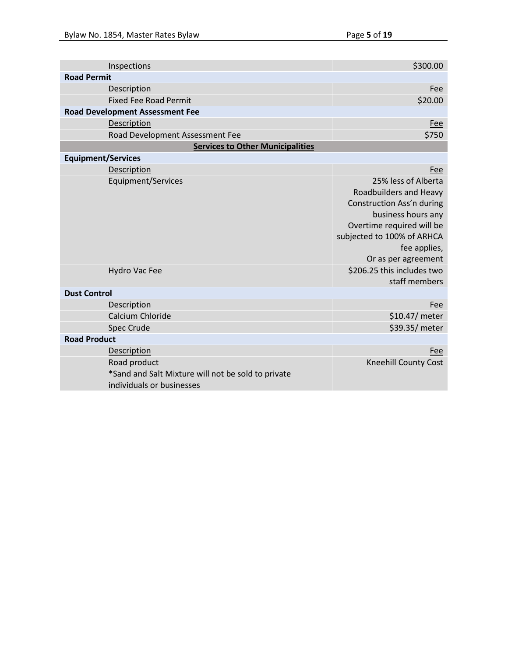|                           | Inspections                                                                     | \$300.00                                                                                                                                                                                                                                          |
|---------------------------|---------------------------------------------------------------------------------|---------------------------------------------------------------------------------------------------------------------------------------------------------------------------------------------------------------------------------------------------|
| <b>Road Permit</b>        |                                                                                 |                                                                                                                                                                                                                                                   |
|                           | Description                                                                     | Fee                                                                                                                                                                                                                                               |
|                           | <b>Fixed Fee Road Permit</b>                                                    | \$20.00                                                                                                                                                                                                                                           |
|                           | <b>Road Development Assessment Fee</b>                                          |                                                                                                                                                                                                                                                   |
|                           | Description                                                                     | Fee                                                                                                                                                                                                                                               |
|                           | Road Development Assessment Fee                                                 | \$750                                                                                                                                                                                                                                             |
|                           | <b>Services to Other Municipalities</b>                                         |                                                                                                                                                                                                                                                   |
| <b>Equipment/Services</b> |                                                                                 |                                                                                                                                                                                                                                                   |
|                           | Description                                                                     | Fee                                                                                                                                                                                                                                               |
|                           | Equipment/Services<br><b>Hydro Vac Fee</b>                                      | 25% less of Alberta<br>Roadbuilders and Heavy<br>Construction Ass'n during<br>business hours any<br>Overtime required will be<br>subjected to 100% of ARHCA<br>fee applies,<br>Or as per agreement<br>\$206.25 this includes two<br>staff members |
| <b>Dust Control</b>       |                                                                                 |                                                                                                                                                                                                                                                   |
|                           | Description                                                                     | Fee                                                                                                                                                                                                                                               |
|                           | Calcium Chloride                                                                | \$10.47/ meter                                                                                                                                                                                                                                    |
|                           | <b>Spec Crude</b>                                                               | \$39.35/ meter                                                                                                                                                                                                                                    |
| <b>Road Product</b>       |                                                                                 |                                                                                                                                                                                                                                                   |
|                           | Description                                                                     | Fee                                                                                                                                                                                                                                               |
|                           | Road product                                                                    | <b>Kneehill County Cost</b>                                                                                                                                                                                                                       |
|                           | *Sand and Salt Mixture will not be sold to private<br>individuals or businesses |                                                                                                                                                                                                                                                   |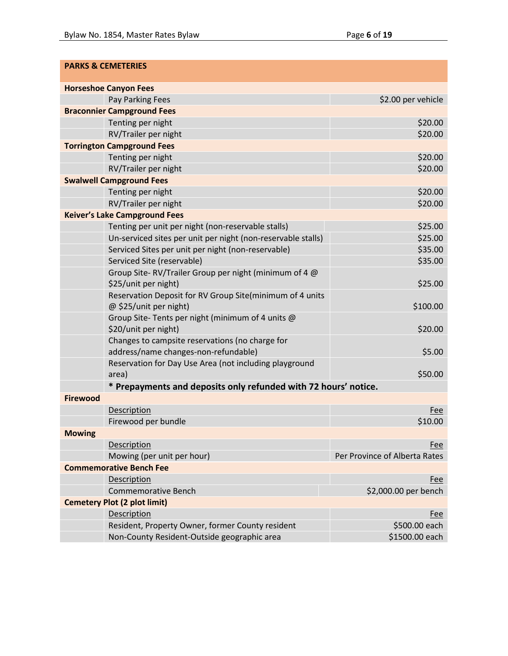|                 | <b>PARKS &amp; CEMETERIES</b>                                   |                               |
|-----------------|-----------------------------------------------------------------|-------------------------------|
|                 | <b>Horseshoe Canyon Fees</b>                                    |                               |
|                 | Pay Parking Fees                                                | \$2.00 per vehicle            |
|                 | <b>Braconnier Campground Fees</b>                               |                               |
|                 | Tenting per night                                               | \$20.00                       |
|                 | RV/Trailer per night                                            | \$20.00                       |
|                 | <b>Torrington Campground Fees</b>                               |                               |
|                 | Tenting per night                                               | \$20.00                       |
|                 | RV/Trailer per night                                            | \$20.00                       |
|                 | <b>Swalwell Campground Fees</b>                                 |                               |
|                 | Tenting per night                                               | \$20.00                       |
|                 | RV/Trailer per night                                            | \$20.00                       |
|                 | <b>Keiver's Lake Campground Fees</b>                            |                               |
|                 | Tenting per unit per night (non-reservable stalls)              | \$25.00                       |
|                 | Un-serviced sites per unit per night (non-reservable stalls)    | \$25.00                       |
|                 | Serviced Sites per unit per night (non-reservable)              | \$35.00                       |
|                 | Serviced Site (reservable)                                      | \$35.00                       |
|                 | Group Site-RV/Trailer Group per night (minimum of 4 @           |                               |
|                 | \$25/unit per night)                                            | \$25.00                       |
|                 | Reservation Deposit for RV Group Site(minimum of 4 units        |                               |
|                 | @ \$25/unit per night)                                          | \$100.00                      |
|                 | Group Site-Tents per night (minimum of 4 units @                |                               |
|                 | \$20/unit per night)                                            | \$20.00                       |
|                 | Changes to campsite reservations (no charge for                 |                               |
|                 | address/name changes-non-refundable)                            | \$5.00                        |
|                 | Reservation for Day Use Area (not including playground          |                               |
|                 | area)                                                           | \$50.00                       |
|                 | * Prepayments and deposits only refunded with 72 hours' notice. |                               |
| <b>Firewood</b> |                                                                 |                               |
|                 | Description                                                     | <b>Fee</b>                    |
|                 | Firewood per bundle                                             | \$10.00                       |
| <b>Mowing</b>   |                                                                 |                               |
|                 | <b>Description</b>                                              | Fee                           |
|                 | Mowing (per unit per hour)                                      | Per Province of Alberta Rates |
|                 | <b>Commemorative Bench Fee</b>                                  |                               |
|                 | <b>Description</b>                                              | <b>Fee</b>                    |
|                 | <b>Commemorative Bench</b>                                      | \$2,000.00 per bench          |
|                 | <b>Cemetery Plot (2 plot limit)</b>                             |                               |
|                 | Description                                                     | <b>Fee</b>                    |
|                 | Resident, Property Owner, former County resident                | \$500.00 each                 |
|                 | Non-County Resident-Outside geographic area                     | \$1500.00 each                |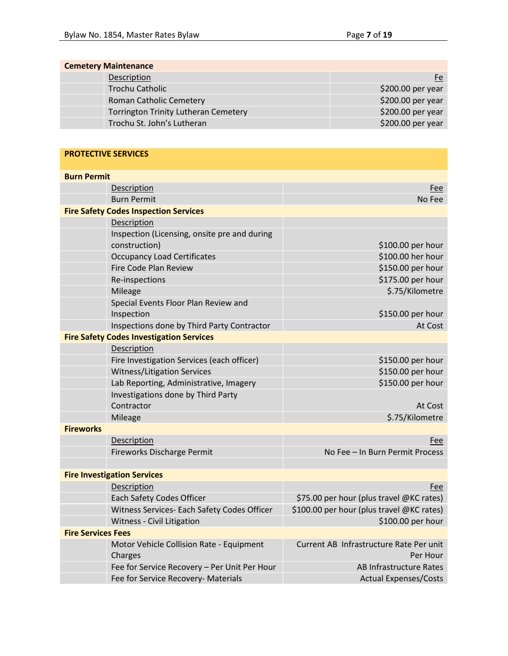Charges

| <b>Cemetery Maintenance</b>                 |                   |  |
|---------------------------------------------|-------------------|--|
| Description                                 | Fe                |  |
| <b>Trochu Catholic</b>                      | \$200.00 per year |  |
| Roman Catholic Cemetery                     | \$200.00 per year |  |
| <b>Torrington Trinity Lutheran Cemetery</b> | \$200.00 per year |  |
| Trochu St. John's Lutheran                  | \$200.00 per year |  |

| <b>PROTECTIVE SERVICES</b>                      |                                           |
|-------------------------------------------------|-------------------------------------------|
| <b>Burn Permit</b>                              |                                           |
| Description                                     | Fee                                       |
| <b>Burn Permit</b>                              | No Fee                                    |
| <b>Fire Safety Codes Inspection Services</b>    |                                           |
| Description                                     |                                           |
| Inspection (Licensing, onsite pre and during    |                                           |
| construction)                                   | \$100.00 per hour                         |
| <b>Occupancy Load Certificates</b>              | \$100.00 her hour                         |
| Fire Code Plan Review                           | \$150.00 per hour                         |
| Re-inspections                                  | \$175.00 per hour                         |
| Mileage                                         | \$.75/Kilometre                           |
| Special Events Floor Plan Review and            |                                           |
| Inspection                                      | \$150.00 per hour                         |
| Inspections done by Third Party Contractor      | At Cost                                   |
| <b>Fire Safety Codes Investigation Services</b> |                                           |
| Description                                     |                                           |
| Fire Investigation Services (each officer)      | \$150.00 per hour                         |
| Witness/Litigation Services                     | \$150.00 per hour                         |
| Lab Reporting, Administrative, Imagery          | \$150.00 per hour                         |
| Investigations done by Third Party              |                                           |
| Contractor                                      | At Cost                                   |
| Mileage                                         | \$.75/Kilometre                           |
| <b>Fireworks</b>                                |                                           |
| Description                                     | Fee                                       |
| Fireworks Discharge Permit                      | No Fee - In Burn Permit Process           |
|                                                 |                                           |
| <b>Fire Investigation Services</b>              |                                           |
| Description                                     | Fee                                       |
| <b>Each Safety Codes Officer</b>                | \$75.00 per hour (plus travel @KC rates)  |
| Witness Services- Each Safety Codes Officer     | \$100.00 per hour (plus travel @KC rates) |
| Witness - Civil Litigation                      | \$100.00 per hour                         |
| <b>Fire Services Fees</b>                       |                                           |
| Motor Vehicle Collision Rate - Equipment        | Current AB Infrastructure Rate Per unit   |

Current AB Infrastructure Rate Per unit Per Hour Fee for Service Recovery – Per Unit Per Hour AB Infrastructure Rates Fee for Service Recovery- Materials Actual Expenses/Costs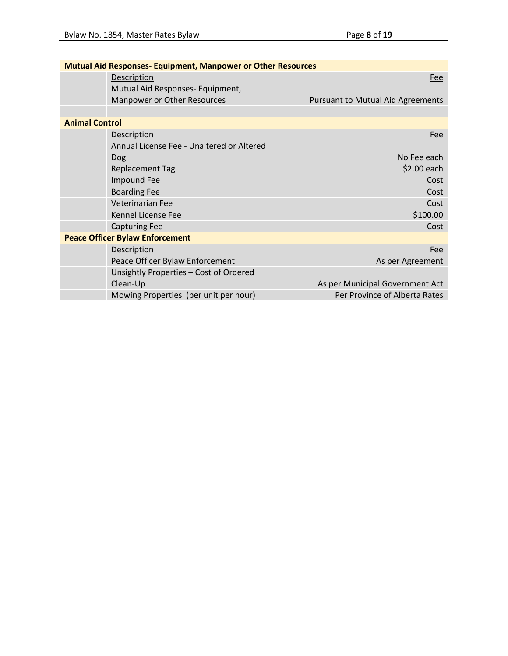| <b>Mutual Aid Responses- Equipment, Manpower or Other Resources</b> |                                           |                                          |
|---------------------------------------------------------------------|-------------------------------------------|------------------------------------------|
|                                                                     | Description                               | Fee                                      |
|                                                                     | Mutual Aid Responses- Equipment,          |                                          |
|                                                                     | Manpower or Other Resources               | <b>Pursuant to Mutual Aid Agreements</b> |
|                                                                     |                                           |                                          |
| <b>Animal Control</b>                                               |                                           |                                          |
|                                                                     | <b>Description</b>                        | Fee                                      |
|                                                                     | Annual License Fee - Unaltered or Altered |                                          |
|                                                                     | Dog                                       | No Fee each                              |
|                                                                     | <b>Replacement Tag</b>                    | \$2.00 each                              |
|                                                                     | Impound Fee                               | Cost                                     |
|                                                                     | <b>Boarding Fee</b>                       | Cost                                     |
|                                                                     | Veterinarian Fee                          | Cost                                     |
|                                                                     | Kennel License Fee                        | \$100.00                                 |
|                                                                     | <b>Capturing Fee</b>                      | Cost                                     |
|                                                                     | <b>Peace Officer Bylaw Enforcement</b>    |                                          |
|                                                                     | Description                               | Fee                                      |
|                                                                     | Peace Officer Bylaw Enforcement           | As per Agreement                         |
|                                                                     | Unsightly Properties - Cost of Ordered    |                                          |
|                                                                     | Clean-Up                                  | As per Municipal Government Act          |
|                                                                     | Mowing Properties (per unit per hour)     | Per Province of Alberta Rates            |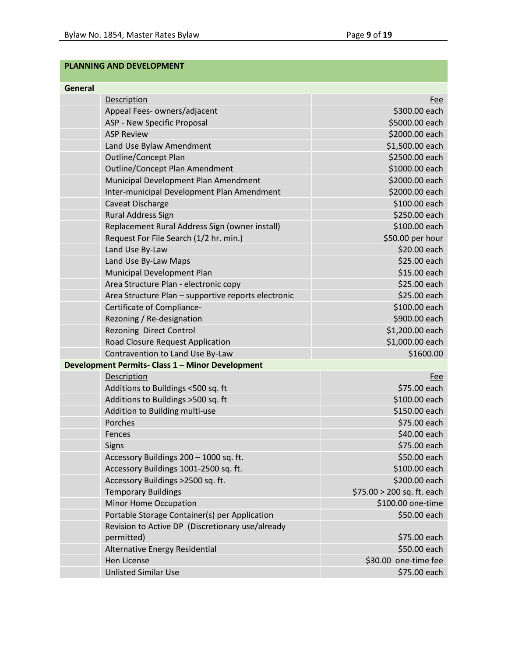## **PLANNING AND DEVELOPMENT**

| General                                                        |                            |
|----------------------------------------------------------------|----------------------------|
| <b>Description</b>                                             | Fee                        |
| Appeal Fees- owners/adjacent                                   | \$300.00 each              |
| ASP - New Specific Proposal                                    | \$5000.00 each             |
| <b>ASP Review</b>                                              | \$2000.00 each             |
| Land Use Bylaw Amendment                                       | \$1,500.00 each            |
| <b>Outline/Concept Plan</b>                                    | \$2500.00 each             |
| Outline/Concept Plan Amendment                                 | \$1000.00 each             |
| Municipal Development Plan Amendment                           | \$2000.00 each             |
| Inter-municipal Development Plan Amendment                     | \$2000.00 each             |
| Caveat Discharge                                               | \$100.00 each              |
| Rural Address Sign                                             | \$250.00 each              |
| Replacement Rural Address Sign (owner install)                 | \$100.00 each              |
| Request For File Search (1/2 hr. min.)                         | \$50.00 per hour           |
| Land Use By-Law                                                | \$20.00 each               |
| Land Use By-Law Maps                                           | \$25.00 each               |
| Municipal Development Plan                                     | \$15.00 each               |
| Area Structure Plan - electronic copy                          | \$25.00 each               |
| Area Structure Plan - supportive reports electronic            | \$25.00 each               |
| Certificate of Compliance-                                     | \$100.00 each              |
| Rezoning / Re-designation                                      | \$900.00 each              |
| <b>Rezoning Direct Control</b>                                 | \$1,200.00 each            |
| Road Closure Request Application                               | \$1,000.00 each            |
| Contravention to Land Use By-Law                               | \$1600.00                  |
| Development Permits- Class 1 - Minor Development               |                            |
| Description                                                    | Fee                        |
| Additions to Buildings <500 sq. ft                             | \$75.00 each               |
| Additions to Buildings > 500 sq. ft                            | \$100.00 each              |
| Addition to Building multi-use                                 | \$150.00 each              |
| Porches                                                        | \$75.00 each               |
| Fences                                                         | \$40.00 each               |
| <b>Signs</b>                                                   | \$75.00 each               |
| Accessory Buildings 200 - 1000 sq. ft.                         | \$50.00 each               |
| Accessory Buildings 1001-2500 sq. ft.                          | \$100.00 each              |
| Accessory Buildings >2500 sq. ft.                              | \$200.00 each              |
| <b>Temporary Buildings</b>                                     | \$75.00 > 200 sq. ft. each |
| Minor Home Occupation                                          | \$100.00 one-time          |
| Portable Storage Container(s) per Application                  | \$50.00 each               |
| Revision to Active DP (Discretionary use/already<br>permitted) | \$75.00 each               |
| Alternative Energy Residential                                 | \$50.00 each               |
| Hen License                                                    | \$30.00 one-time fee       |
| <b>Unlisted Similar Use</b>                                    | \$75.00 each               |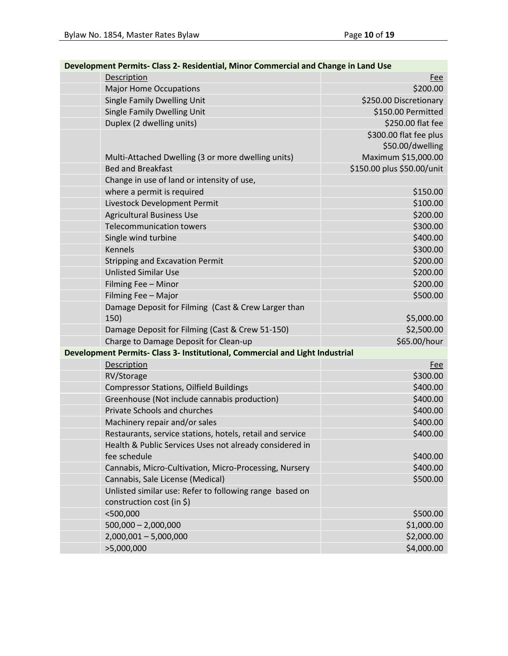| Development Permits- Class 2- Residential, Minor Commercial and Change in Land Use |                            |  |
|------------------------------------------------------------------------------------|----------------------------|--|
| Description                                                                        | <b>Fee</b>                 |  |
| <b>Major Home Occupations</b>                                                      | \$200.00                   |  |
| Single Family Dwelling Unit                                                        | \$250.00 Discretionary     |  |
| Single Family Dwelling Unit                                                        | \$150.00 Permitted         |  |
| Duplex (2 dwelling units)                                                          | \$250.00 flat fee          |  |
|                                                                                    | \$300.00 flat fee plus     |  |
|                                                                                    | \$50.00/dwelling           |  |
| Multi-Attached Dwelling (3 or more dwelling units)                                 | Maximum \$15,000.00        |  |
| <b>Bed and Breakfast</b>                                                           | \$150.00 plus \$50.00/unit |  |
| Change in use of land or intensity of use,                                         |                            |  |
| where a permit is required                                                         | \$150.00                   |  |
| Livestock Development Permit                                                       | \$100.00                   |  |
| <b>Agricultural Business Use</b>                                                   | \$200.00                   |  |
| <b>Telecommunication towers</b>                                                    | \$300.00                   |  |
| Single wind turbine                                                                | \$400.00                   |  |
| <b>Kennels</b>                                                                     | \$300.00                   |  |
| <b>Stripping and Excavation Permit</b>                                             | \$200.00                   |  |
| <b>Unlisted Similar Use</b>                                                        | \$200.00                   |  |
| Filming Fee - Minor                                                                | \$200.00                   |  |
| Filming Fee - Major                                                                | \$500.00                   |  |
| Damage Deposit for Filming (Cast & Crew Larger than                                |                            |  |
| 150)                                                                               | \$5,000.00                 |  |
| Damage Deposit for Filming (Cast & Crew 51-150)                                    | \$2,500.00                 |  |
| Charge to Damage Deposit for Clean-up                                              | \$65.00/hour               |  |
| Development Permits- Class 3- Institutional, Commercial and Light Industrial       |                            |  |
| Description                                                                        | <b>Fee</b>                 |  |
| RV/Storage                                                                         | \$300.00                   |  |
| <b>Compressor Stations, Oilfield Buildings</b>                                     | \$400.00                   |  |
| Greenhouse (Not include cannabis production)                                       | \$400.00                   |  |
| Private Schools and churches                                                       | \$400.00                   |  |
| Machinery repair and/or sales                                                      | \$400.00                   |  |
| Restaurants, service stations, hotels, retail and service                          | \$400.00                   |  |
| Health & Public Services Uses not already considered in                            |                            |  |
| fee schedule                                                                       | \$400.00                   |  |
| Cannabis, Micro-Cultivation, Micro-Processing, Nursery                             | \$400.00                   |  |
| Cannabis, Sale License (Medical)                                                   | \$500.00                   |  |
| Unlisted similar use: Refer to following range based on                            |                            |  |
| construction cost (in \$)                                                          |                            |  |
| $<$ 500,000                                                                        | \$500.00                   |  |
| $500,000 - 2,000,000$                                                              | \$1,000.00                 |  |
| $2,000,001 - 5,000,000$                                                            | \$2,000.00                 |  |
| >5,000,000                                                                         | \$4,000.00                 |  |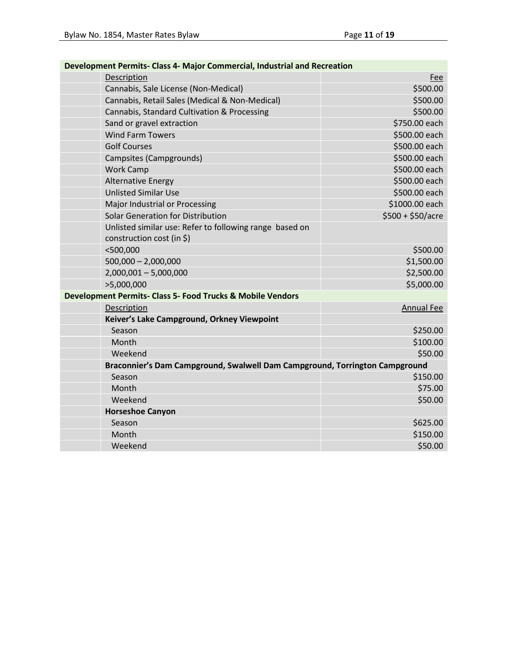| Development Permits- Class 4- Major Commercial, Industrial and Recreation   |                    |  |
|-----------------------------------------------------------------------------|--------------------|--|
| Description                                                                 | Fee                |  |
| Cannabis, Sale License (Non-Medical)                                        | \$500.00           |  |
| Cannabis, Retail Sales (Medical & Non-Medical)                              | \$500.00           |  |
| Cannabis, Standard Cultivation & Processing                                 | \$500.00           |  |
| Sand or gravel extraction                                                   | \$750.00 each      |  |
| <b>Wind Farm Towers</b>                                                     | \$500.00 each      |  |
| <b>Golf Courses</b>                                                         | \$500.00 each      |  |
| Campsites (Campgrounds)                                                     | \$500.00 each      |  |
| <b>Work Camp</b>                                                            | \$500.00 each      |  |
| <b>Alternative Energy</b>                                                   | \$500.00 each      |  |
| <b>Unlisted Similar Use</b>                                                 | \$500.00 each      |  |
| Major Industrial or Processing                                              | \$1000.00 each     |  |
| <b>Solar Generation for Distribution</b>                                    | $$500 + $50/$ acre |  |
| Unlisted similar use: Refer to following range based on                     |                    |  |
| construction cost (in $\zeta$ )                                             |                    |  |
| $<$ 500,000                                                                 | \$500.00           |  |
| $500,000 - 2,000,000$                                                       | \$1,500.00         |  |
| $2,000,001 - 5,000,000$                                                     | \$2,500.00         |  |
| >5,000,000                                                                  | \$5,000.00         |  |
| Development Permits- Class 5- Food Trucks & Mobile Vendors                  |                    |  |
| Description                                                                 | <b>Annual Fee</b>  |  |
| Keiver's Lake Campground, Orkney Viewpoint                                  |                    |  |
| Season                                                                      | \$250.00           |  |
| Month                                                                       | \$100.00           |  |
| Weekend                                                                     | \$50.00            |  |
| Braconnier's Dam Campground, Swalwell Dam Campground, Torrington Campground |                    |  |
| Season                                                                      | \$150.00           |  |
| Month                                                                       | \$75.00            |  |
| Weekend                                                                     | \$50.00            |  |
| <b>Horseshoe Canyon</b>                                                     |                    |  |
| Season                                                                      | \$625.00           |  |
| Month                                                                       | \$150.00           |  |
| Weekend                                                                     | \$50.00            |  |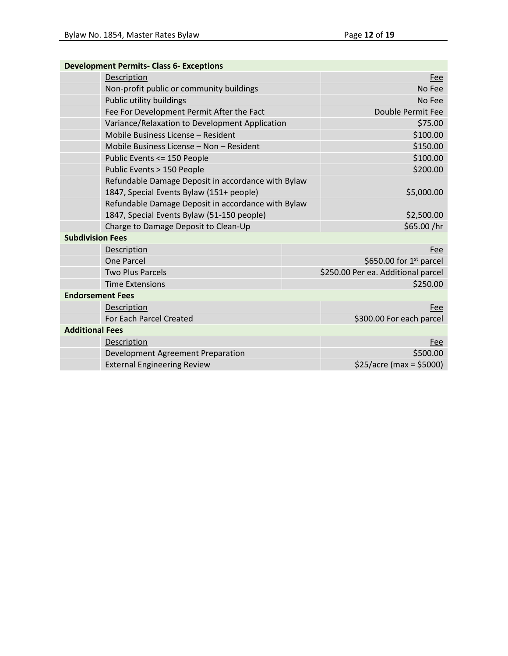| <b>Development Permits- Class 6- Exceptions</b> |                                                                                                |  |                                    |  |
|-------------------------------------------------|------------------------------------------------------------------------------------------------|--|------------------------------------|--|
|                                                 | Description                                                                                    |  | <b>Fee</b>                         |  |
|                                                 | Non-profit public or community buildings                                                       |  | No Fee                             |  |
|                                                 | Public utility buildings                                                                       |  | No Fee                             |  |
|                                                 | Fee For Development Permit After the Fact                                                      |  | Double Permit Fee                  |  |
|                                                 | Variance/Relaxation to Development Application                                                 |  | \$75.00                            |  |
|                                                 | Mobile Business License - Resident                                                             |  | \$100.00                           |  |
|                                                 | Mobile Business License – Non – Resident                                                       |  | \$150.00                           |  |
|                                                 | Public Events <= 150 People                                                                    |  | \$100.00                           |  |
|                                                 | Public Events > 150 People                                                                     |  | \$200.00                           |  |
|                                                 | Refundable Damage Deposit in accordance with Bylaw<br>1847, Special Events Bylaw (151+ people) |  | \$5,000.00                         |  |
|                                                 | Refundable Damage Deposit in accordance with Bylaw                                             |  |                                    |  |
|                                                 | 1847, Special Events Bylaw (51-150 people)                                                     |  | \$2,500.00                         |  |
|                                                 | Charge to Damage Deposit to Clean-Up                                                           |  | \$65.00 /hr                        |  |
| <b>Subdivision Fees</b>                         |                                                                                                |  |                                    |  |
|                                                 | Description                                                                                    |  | Fee                                |  |
|                                                 | <b>One Parcel</b>                                                                              |  | \$650.00 for $1st$ parcel          |  |
|                                                 | <b>Two Plus Parcels</b>                                                                        |  | \$250.00 Per ea. Additional parcel |  |
|                                                 | <b>Time Extensions</b>                                                                         |  | \$250.00                           |  |
| <b>Endorsement Fees</b>                         |                                                                                                |  |                                    |  |
|                                                 | Description                                                                                    |  | Fee                                |  |
|                                                 | For Each Parcel Created                                                                        |  | \$300.00 For each parcel           |  |
| <b>Additional Fees</b>                          |                                                                                                |  |                                    |  |
|                                                 | Description                                                                                    |  | Fee                                |  |
|                                                 | Development Agreement Preparation                                                              |  | \$500.00                           |  |
|                                                 | <b>External Engineering Review</b>                                                             |  | $$25/acre (max = $5000)$           |  |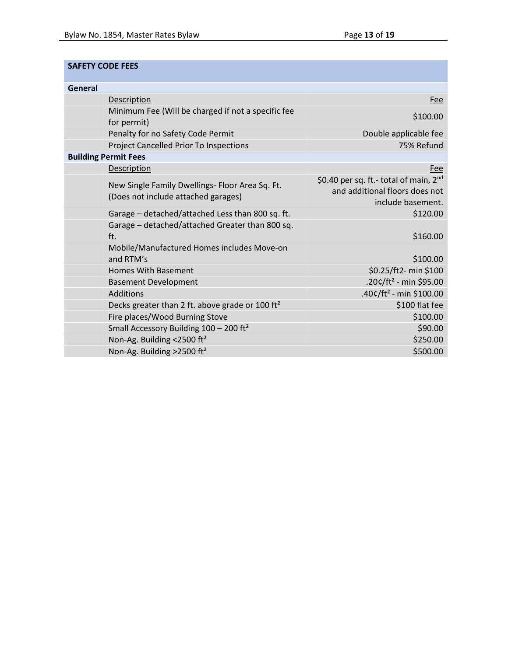### **SAFETY CODE FEES**

| General |                                                             |                                                    |
|---------|-------------------------------------------------------------|----------------------------------------------------|
|         | Description                                                 | Fee                                                |
|         | Minimum Fee (Will be charged if not a specific fee          | \$100.00                                           |
|         | for permit)                                                 |                                                    |
|         | Penalty for no Safety Code Permit                           | Double applicable fee                              |
|         | Project Cancelled Prior To Inspections                      | 75% Refund                                         |
|         | <b>Building Permit Fees</b>                                 |                                                    |
|         | <b>Description</b>                                          | Fee                                                |
|         | New Single Family Dwellings- Floor Area Sq. Ft.             | \$0.40 per sq. ft.- total of main, 2 <sup>nd</sup> |
|         | (Does not include attached garages)                         | and additional floors does not                     |
|         |                                                             | include basement.                                  |
|         | Garage - detached/attached Less than 800 sq. ft.            | \$120.00                                           |
|         | Garage - detached/attached Greater than 800 sq.             |                                                    |
|         | ft.                                                         | \$160.00                                           |
|         | Mobile/Manufactured Homes includes Move-on                  |                                                    |
|         | and RTM's                                                   | \$100.00                                           |
|         | <b>Homes With Basement</b>                                  | \$0.25/ft2- min \$100                              |
|         | <b>Basement Development</b>                                 | .20¢/ft <sup>2</sup> - min \$95.00                 |
|         | <b>Additions</b>                                            | $.40c/ft^2$ - min \$100.00                         |
|         | Decks greater than 2 ft. above grade or 100 ft <sup>2</sup> | \$100 flat fee                                     |
|         | Fire places/Wood Burning Stove                              | \$100.00                                           |
|         | Small Accessory Building $100 - 200$ ft <sup>2</sup>        | \$90.00                                            |
|         | Non-Ag. Building <2500 ft <sup>2</sup>                      | \$250.00                                           |
|         | Non-Ag. Building >2500 ft <sup>2</sup>                      | \$500.00                                           |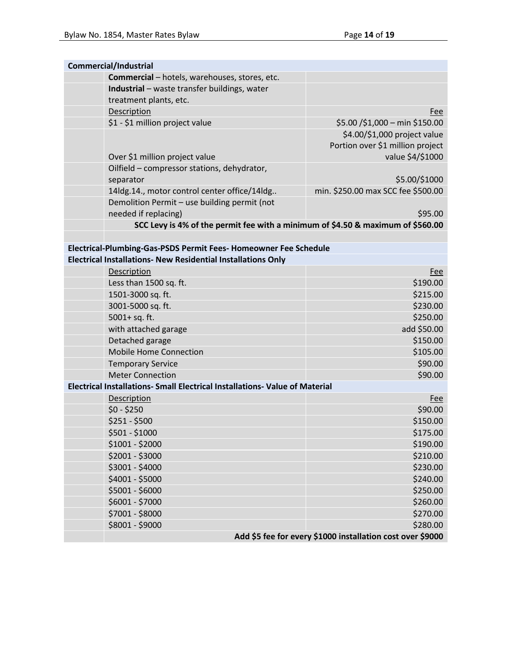| <b>Commercial/Industrial</b>                                                    |                                                            |
|---------------------------------------------------------------------------------|------------------------------------------------------------|
| Commercial - hotels, warehouses, stores, etc.                                   |                                                            |
| Industrial - waste transfer buildings, water                                    |                                                            |
| treatment plants, etc.                                                          |                                                            |
| Description                                                                     | Fee                                                        |
| \$1 - \$1 million project value                                                 | \$5.00 /\$1,000 - min \$150.00                             |
|                                                                                 | \$4.00/\$1,000 project value                               |
|                                                                                 | Portion over \$1 million project                           |
| Over \$1 million project value                                                  | value \$4/\$1000                                           |
| Oilfield - compressor stations, dehydrator,                                     |                                                            |
| separator                                                                       | \$5.00/\$1000                                              |
| 14ldg.14., motor control center office/14ldg                                    | min. \$250.00 max SCC fee \$500.00                         |
| Demolition Permit - use building permit (not                                    |                                                            |
| needed if replacing)                                                            | \$95.00                                                    |
| SCC Levy is 4% of the permit fee with a minimum of \$4.50 & maximum of \$560.00 |                                                            |
| Electrical-Plumbing-Gas-PSDS Permit Fees- Homeowner Fee Schedule                |                                                            |
| <b>Electrical Installations- New Residential Installations Only</b>             |                                                            |
| Description                                                                     | <b>Fee</b>                                                 |
| Less than 1500 sq. ft.                                                          | \$190.00                                                   |
| 1501-3000 sq. ft.                                                               | \$215.00                                                   |
| 3001-5000 sq. ft.                                                               | \$230.00                                                   |
| 5001+ sq. ft.                                                                   | \$250.00                                                   |
| with attached garage                                                            | add \$50.00                                                |
| Detached garage                                                                 | \$150.00                                                   |
| <b>Mobile Home Connection</b>                                                   | \$105.00                                                   |
| <b>Temporary Service</b>                                                        | \$90.00                                                    |
| <b>Meter Connection</b>                                                         | \$90.00                                                    |
| Electrical Installations- Small Electrical Installations- Value of Material     |                                                            |
| Description                                                                     | <u>Fee</u>                                                 |
| $$0 - $250$                                                                     | \$90.00                                                    |
| $$251 - $500$                                                                   | \$150.00                                                   |
| \$501 - \$1000                                                                  | \$175.00                                                   |
| $$1001 - $2000$                                                                 | \$190.00                                                   |
| \$2001 - \$3000                                                                 | \$210.00                                                   |
| \$3001 - \$4000                                                                 | \$230.00                                                   |
| \$4001 - \$5000                                                                 | \$240.00                                                   |
| \$5001 - \$6000                                                                 | \$250.00                                                   |
| \$6001 - \$7000                                                                 | \$260.00                                                   |
| \$7001 - \$8000                                                                 | \$270.00                                                   |
| \$8001 - \$9000                                                                 | \$280.00                                                   |
|                                                                                 | Add \$5 fee for every \$1000 installation cost over \$9000 |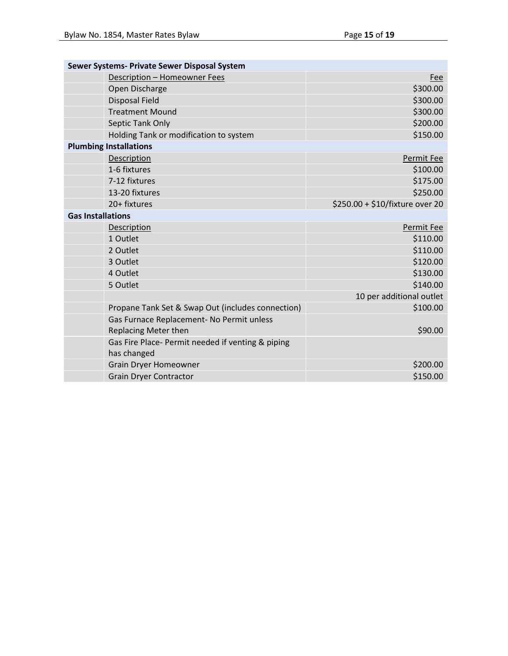|                          | Sewer Systems- Private Sewer Disposal System      |                                 |
|--------------------------|---------------------------------------------------|---------------------------------|
|                          | Description - Homeowner Fees                      | <b>Fee</b>                      |
|                          | Open Discharge                                    | \$300.00                        |
|                          | <b>Disposal Field</b>                             | \$300.00                        |
|                          | <b>Treatment Mound</b>                            | \$300.00                        |
|                          | Septic Tank Only                                  | \$200.00                        |
|                          | Holding Tank or modification to system            | \$150.00                        |
|                          | <b>Plumbing Installations</b>                     |                                 |
|                          | Description                                       | Permit Fee                      |
|                          | 1-6 fixtures                                      | \$100.00                        |
|                          | 7-12 fixtures                                     | \$175.00                        |
|                          | 13-20 fixtures                                    | \$250.00                        |
|                          | 20+ fixtures                                      | \$250.00 + \$10/fixture over 20 |
| <b>Gas Installations</b> |                                                   |                                 |
|                          | Description                                       | Permit Fee                      |
|                          | 1 Outlet                                          | \$110.00                        |
|                          | 2 Outlet                                          | \$110.00                        |
|                          | 3 Outlet                                          | \$120.00                        |
|                          | 4 Outlet                                          | \$130.00                        |
|                          | 5 Outlet                                          | \$140.00                        |
|                          |                                                   | 10 per additional outlet        |
|                          | Propane Tank Set & Swap Out (includes connection) | \$100.00                        |
|                          | Gas Furnace Replacement- No Permit unless         |                                 |
|                          | Replacing Meter then                              | \$90.00                         |
|                          | Gas Fire Place- Permit needed if venting & piping |                                 |
|                          | has changed                                       |                                 |
|                          | <b>Grain Dryer Homeowner</b>                      | \$200.00                        |
|                          | <b>Grain Dryer Contractor</b>                     | \$150.00                        |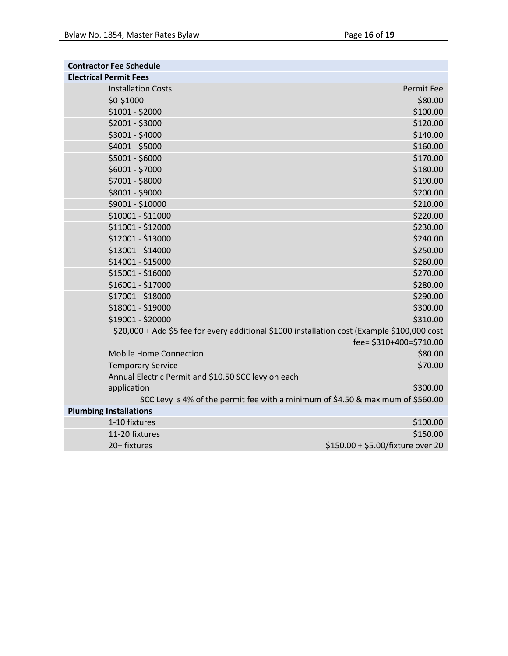| <b>Contractor Fee Schedule</b> |                                                                                              |                                   |
|--------------------------------|----------------------------------------------------------------------------------------------|-----------------------------------|
|                                | <b>Electrical Permit Fees</b>                                                                |                                   |
|                                | <b>Installation Costs</b>                                                                    | Permit Fee                        |
|                                | \$0-\$1000                                                                                   | \$80.00                           |
|                                | \$1001 - \$2000                                                                              | \$100.00                          |
|                                | \$2001 - \$3000                                                                              | \$120.00                          |
|                                | \$3001 - \$4000                                                                              | \$140.00                          |
|                                | \$4001 - \$5000                                                                              | \$160.00                          |
|                                | \$5001 - \$6000                                                                              | \$170.00                          |
|                                | \$6001 - \$7000                                                                              | \$180.00                          |
|                                | \$7001 - \$8000                                                                              | \$190.00                          |
|                                | \$8001 - \$9000                                                                              | \$200.00                          |
|                                | \$9001 - \$10000                                                                             | \$210.00                          |
|                                | \$10001 - \$11000                                                                            | \$220.00                          |
|                                | \$11001 - \$12000                                                                            | \$230.00                          |
|                                | \$12001 - \$13000                                                                            | \$240.00                          |
|                                | \$13001 - \$14000                                                                            | \$250.00                          |
|                                | \$14001 - \$15000                                                                            | \$260.00                          |
|                                | \$15001 - \$16000                                                                            | \$270.00                          |
|                                | \$16001 - \$17000                                                                            | \$280.00                          |
|                                | \$17001 - \$18000                                                                            | \$290.00                          |
|                                | \$18001 - \$19000                                                                            | \$300.00                          |
|                                | \$19001 - \$20000                                                                            | \$310.00                          |
|                                | \$20,000 + Add \$5 fee for every additional \$1000 installation cost (Example \$100,000 cost |                                   |
|                                |                                                                                              | fee= \$310+400=\$710.00           |
|                                | <b>Mobile Home Connection</b>                                                                | \$80.00                           |
|                                | <b>Temporary Service</b>                                                                     | \$70.00                           |
|                                | Annual Electric Permit and \$10.50 SCC levy on each                                          |                                   |
|                                | application                                                                                  | \$300.00                          |
|                                | SCC Levy is 4% of the permit fee with a minimum of \$4.50 & maximum of \$560.00              |                                   |
| <b>Plumbing Installations</b>  |                                                                                              |                                   |
|                                | 1-10 fixtures                                                                                | \$100.00                          |
|                                | 11-20 fixtures                                                                               | \$150.00                          |
|                                | 20+ fixtures                                                                                 | \$150.00 + \$5.00/fixture over 20 |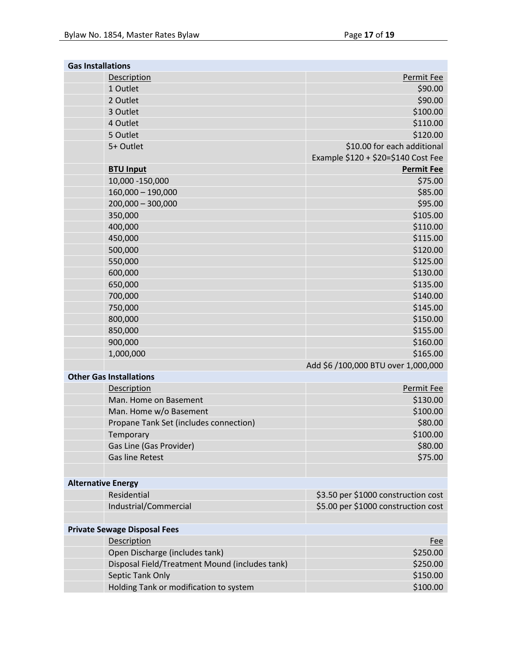| Permit Fee<br>Description<br>1 Outlet<br>\$90.00<br>\$90.00<br>2 Outlet<br>\$100.00<br>3 Outlet<br>\$110.00<br>4 Outlet<br>\$120.00<br>5 Outlet<br>\$10.00 for each additional<br>5+ Outlet<br>Example \$120 + \$20=\$140 Cost Fee<br><b>BTU Input</b><br><b>Permit Fee</b><br>\$75.00<br>10,000 - 150,000<br>$160,000 - 190,000$<br>\$85.00<br>\$95.00<br>$200,000 - 300,000$<br>\$105.00<br>350,000<br>400,000<br>\$110.00<br>450,000<br>\$115.00<br>\$120.00<br>500,000<br>\$125.00<br>550,000<br>600,000<br>\$130.00<br>650,000<br>\$135.00<br>\$140.00<br>700,000<br>750,000<br>\$145.00<br>\$150.00<br>800,000<br>\$155.00<br>850,000<br>\$160.00<br>900,000<br>\$165.00<br>1,000,000<br>Add \$6 /100,000 BTU over 1,000,000 |  |  |  |
|------------------------------------------------------------------------------------------------------------------------------------------------------------------------------------------------------------------------------------------------------------------------------------------------------------------------------------------------------------------------------------------------------------------------------------------------------------------------------------------------------------------------------------------------------------------------------------------------------------------------------------------------------------------------------------------------------------------------------------|--|--|--|
|                                                                                                                                                                                                                                                                                                                                                                                                                                                                                                                                                                                                                                                                                                                                    |  |  |  |
|                                                                                                                                                                                                                                                                                                                                                                                                                                                                                                                                                                                                                                                                                                                                    |  |  |  |
|                                                                                                                                                                                                                                                                                                                                                                                                                                                                                                                                                                                                                                                                                                                                    |  |  |  |
|                                                                                                                                                                                                                                                                                                                                                                                                                                                                                                                                                                                                                                                                                                                                    |  |  |  |
|                                                                                                                                                                                                                                                                                                                                                                                                                                                                                                                                                                                                                                                                                                                                    |  |  |  |
|                                                                                                                                                                                                                                                                                                                                                                                                                                                                                                                                                                                                                                                                                                                                    |  |  |  |
|                                                                                                                                                                                                                                                                                                                                                                                                                                                                                                                                                                                                                                                                                                                                    |  |  |  |
|                                                                                                                                                                                                                                                                                                                                                                                                                                                                                                                                                                                                                                                                                                                                    |  |  |  |
|                                                                                                                                                                                                                                                                                                                                                                                                                                                                                                                                                                                                                                                                                                                                    |  |  |  |
|                                                                                                                                                                                                                                                                                                                                                                                                                                                                                                                                                                                                                                                                                                                                    |  |  |  |
|                                                                                                                                                                                                                                                                                                                                                                                                                                                                                                                                                                                                                                                                                                                                    |  |  |  |
|                                                                                                                                                                                                                                                                                                                                                                                                                                                                                                                                                                                                                                                                                                                                    |  |  |  |
|                                                                                                                                                                                                                                                                                                                                                                                                                                                                                                                                                                                                                                                                                                                                    |  |  |  |
|                                                                                                                                                                                                                                                                                                                                                                                                                                                                                                                                                                                                                                                                                                                                    |  |  |  |
|                                                                                                                                                                                                                                                                                                                                                                                                                                                                                                                                                                                                                                                                                                                                    |  |  |  |
|                                                                                                                                                                                                                                                                                                                                                                                                                                                                                                                                                                                                                                                                                                                                    |  |  |  |
|                                                                                                                                                                                                                                                                                                                                                                                                                                                                                                                                                                                                                                                                                                                                    |  |  |  |
|                                                                                                                                                                                                                                                                                                                                                                                                                                                                                                                                                                                                                                                                                                                                    |  |  |  |
|                                                                                                                                                                                                                                                                                                                                                                                                                                                                                                                                                                                                                                                                                                                                    |  |  |  |
|                                                                                                                                                                                                                                                                                                                                                                                                                                                                                                                                                                                                                                                                                                                                    |  |  |  |
|                                                                                                                                                                                                                                                                                                                                                                                                                                                                                                                                                                                                                                                                                                                                    |  |  |  |
|                                                                                                                                                                                                                                                                                                                                                                                                                                                                                                                                                                                                                                                                                                                                    |  |  |  |
|                                                                                                                                                                                                                                                                                                                                                                                                                                                                                                                                                                                                                                                                                                                                    |  |  |  |
|                                                                                                                                                                                                                                                                                                                                                                                                                                                                                                                                                                                                                                                                                                                                    |  |  |  |
|                                                                                                                                                                                                                                                                                                                                                                                                                                                                                                                                                                                                                                                                                                                                    |  |  |  |
|                                                                                                                                                                                                                                                                                                                                                                                                                                                                                                                                                                                                                                                                                                                                    |  |  |  |
| <b>Other Gas Installations</b>                                                                                                                                                                                                                                                                                                                                                                                                                                                                                                                                                                                                                                                                                                     |  |  |  |
| Description<br>Permit Fee                                                                                                                                                                                                                                                                                                                                                                                                                                                                                                                                                                                                                                                                                                          |  |  |  |
| \$130.00<br>Man. Home on Basement                                                                                                                                                                                                                                                                                                                                                                                                                                                                                                                                                                                                                                                                                                  |  |  |  |
| Man. Home w/o Basement<br>\$100.00                                                                                                                                                                                                                                                                                                                                                                                                                                                                                                                                                                                                                                                                                                 |  |  |  |
| \$80.00<br>Propane Tank Set (includes connection)                                                                                                                                                                                                                                                                                                                                                                                                                                                                                                                                                                                                                                                                                  |  |  |  |
| \$100.00<br>Temporary                                                                                                                                                                                                                                                                                                                                                                                                                                                                                                                                                                                                                                                                                                              |  |  |  |
| Gas Line (Gas Provider)<br>\$80.00                                                                                                                                                                                                                                                                                                                                                                                                                                                                                                                                                                                                                                                                                                 |  |  |  |
| <b>Gas line Retest</b><br>\$75.00                                                                                                                                                                                                                                                                                                                                                                                                                                                                                                                                                                                                                                                                                                  |  |  |  |
|                                                                                                                                                                                                                                                                                                                                                                                                                                                                                                                                                                                                                                                                                                                                    |  |  |  |
| <b>Alternative Energy</b>                                                                                                                                                                                                                                                                                                                                                                                                                                                                                                                                                                                                                                                                                                          |  |  |  |
| Residential<br>\$3.50 per \$1000 construction cost                                                                                                                                                                                                                                                                                                                                                                                                                                                                                                                                                                                                                                                                                 |  |  |  |
| Industrial/Commercial<br>\$5.00 per \$1000 construction cost                                                                                                                                                                                                                                                                                                                                                                                                                                                                                                                                                                                                                                                                       |  |  |  |
|                                                                                                                                                                                                                                                                                                                                                                                                                                                                                                                                                                                                                                                                                                                                    |  |  |  |
| <b>Private Sewage Disposal Fees</b>                                                                                                                                                                                                                                                                                                                                                                                                                                                                                                                                                                                                                                                                                                |  |  |  |
| Description<br><b>Fee</b>                                                                                                                                                                                                                                                                                                                                                                                                                                                                                                                                                                                                                                                                                                          |  |  |  |
| Open Discharge (includes tank)<br>\$250.00                                                                                                                                                                                                                                                                                                                                                                                                                                                                                                                                                                                                                                                                                         |  |  |  |
| Disposal Field/Treatment Mound (includes tank)<br>\$250.00                                                                                                                                                                                                                                                                                                                                                                                                                                                                                                                                                                                                                                                                         |  |  |  |
| Septic Tank Only<br>\$150.00                                                                                                                                                                                                                                                                                                                                                                                                                                                                                                                                                                                                                                                                                                       |  |  |  |
| Holding Tank or modification to system<br>\$100.00                                                                                                                                                                                                                                                                                                                                                                                                                                                                                                                                                                                                                                                                                 |  |  |  |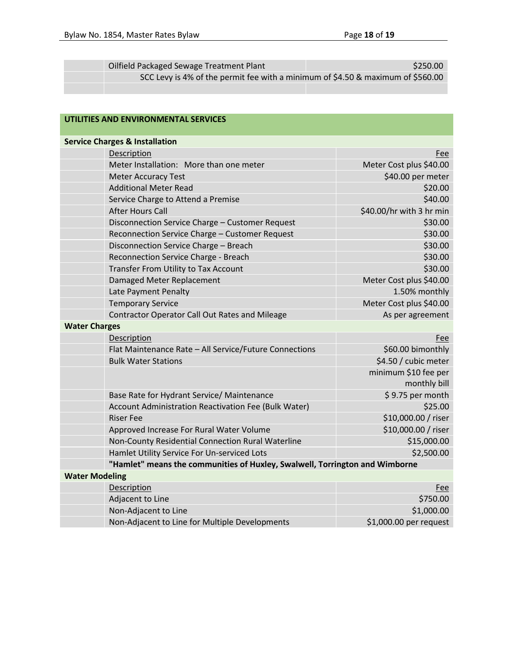| Oilfield Packaged Sewage Treatment Plant                                        | \$250.00 |
|---------------------------------------------------------------------------------|----------|
| SCC Levy is 4% of the permit fee with a minimum of \$4.50 & maximum of \$560.00 |          |
|                                                                                 |          |

| UTILITIES AND ENVIRONMENTAL SERVICES |                                                                             |                                      |  |
|--------------------------------------|-----------------------------------------------------------------------------|--------------------------------------|--|
|                                      | <b>Service Charges &amp; Installation</b>                                   |                                      |  |
|                                      | Description                                                                 | Fee                                  |  |
|                                      | Meter Installation: More than one meter                                     | Meter Cost plus \$40.00              |  |
|                                      | <b>Meter Accuracy Test</b>                                                  | \$40.00 per meter                    |  |
|                                      | <b>Additional Meter Read</b>                                                | \$20.00                              |  |
|                                      | Service Charge to Attend a Premise                                          | \$40.00                              |  |
|                                      | <b>After Hours Call</b>                                                     | \$40.00/hr with 3 hr min             |  |
|                                      | Disconnection Service Charge - Customer Request                             | \$30.00                              |  |
|                                      | Reconnection Service Charge - Customer Request                              | \$30.00                              |  |
|                                      | Disconnection Service Charge - Breach                                       | \$30.00                              |  |
|                                      | Reconnection Service Charge - Breach                                        | \$30.00                              |  |
|                                      | Transfer From Utility to Tax Account                                        | \$30.00                              |  |
|                                      | Damaged Meter Replacement                                                   | Meter Cost plus \$40.00              |  |
|                                      | Late Payment Penalty                                                        | 1.50% monthly                        |  |
|                                      | <b>Temporary Service</b>                                                    | Meter Cost plus \$40.00              |  |
|                                      | Contractor Operator Call Out Rates and Mileage                              | As per agreement                     |  |
| <b>Water Charges</b>                 |                                                                             |                                      |  |
|                                      | Description                                                                 | Fee                                  |  |
|                                      | Flat Maintenance Rate - All Service/Future Connections                      | \$60.00 bimonthly                    |  |
|                                      | <b>Bulk Water Stations</b>                                                  | \$4.50 / cubic meter                 |  |
|                                      |                                                                             | minimum \$10 fee per<br>monthly bill |  |
|                                      | Base Rate for Hydrant Service/ Maintenance                                  | \$9.75 per month                     |  |
|                                      | Account Administration Reactivation Fee (Bulk Water)                        | \$25.00                              |  |
|                                      | <b>Riser Fee</b>                                                            | \$10,000.00 / riser                  |  |
|                                      | Approved Increase For Rural Water Volume                                    | \$10,000.00 / riser                  |  |
|                                      | Non-County Residential Connection Rural Waterline                           | \$15,000.00                          |  |
|                                      | Hamlet Utility Service For Un-serviced Lots                                 | \$2,500.00                           |  |
|                                      | "Hamlet" means the communities of Huxley, Swalwell, Torrington and Wimborne |                                      |  |
| <b>Water Modeling</b>                |                                                                             |                                      |  |
|                                      | Description                                                                 | Fee                                  |  |
|                                      | Adjacent to Line                                                            | \$750.00                             |  |
|                                      | Non-Adjacent to Line                                                        | \$1,000.00                           |  |
|                                      | Non-Adjacent to Line for Multiple Developments                              | \$1,000.00 per request               |  |